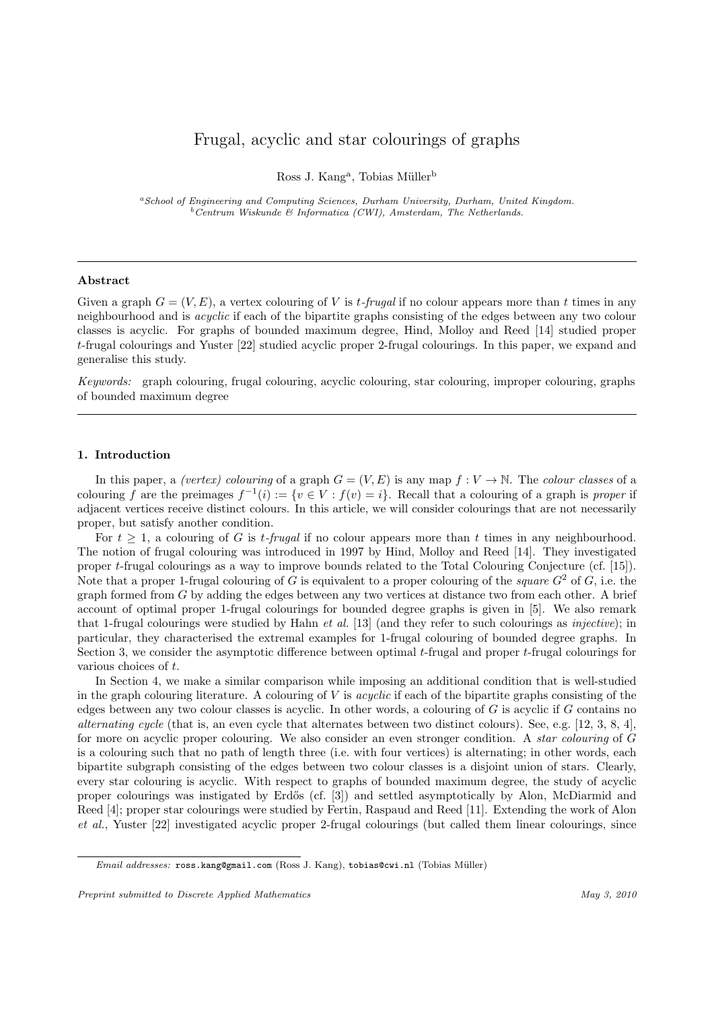# Frugal, acyclic and star colourings of graphs

Ross J. Kang<sup>a</sup>, Tobias Müller<sup>b</sup>

<sup>a</sup>School of Engineering and Computing Sciences, Durham University, Durham, United Kingdom.  $b$  Centrum Wiskunde & Informatica (CWI), Amsterdam, The Netherlands.

## Abstract

Given a graph  $G = (V, E)$ , a vertex colouring of V is t-frugal if no colour appears more than t times in any neighbourhood and is acyclic if each of the bipartite graphs consisting of the edges between any two colour classes is acyclic. For graphs of bounded maximum degree, Hind, Molloy and Reed [14] studied proper t-frugal colourings and Yuster [22] studied acyclic proper 2-frugal colourings. In this paper, we expand and generalise this study.

Keywords: graph colouring, frugal colouring, acyclic colouring, star colouring, improper colouring, graphs of bounded maximum degree

## 1. Introduction

In this paper, a *(vertex) colouring* of a graph  $G = (V, E)$  is any map  $f: V \to \mathbb{N}$ . The *colour classes* of a colouring f are the preimages  $f^{-1}(i) := \{v \in V : f(v) = i\}$ . Recall that a colouring of a graph is proper if adjacent vertices receive distinct colours. In this article, we will consider colourings that are not necessarily proper, but satisfy another condition.

For  $t \geq 1$ , a colouring of G is t-frugal if no colour appears more than t times in any neighbourhood. The notion of frugal colouring was introduced in 1997 by Hind, Molloy and Reed [14]. They investigated proper t-frugal colourings as a way to improve bounds related to the Total Colouring Conjecture (cf. [15]). Note that a proper 1-frugal colouring of G is equivalent to a proper colouring of the *square*  $G^2$  of G, i.e. the graph formed from  $G$  by adding the edges between any two vertices at distance two from each other. A brief account of optimal proper 1-frugal colourings for bounded degree graphs is given in [5]. We also remark that 1-frugal colourings were studied by Hahn et al. [13] (and they refer to such colourings as injective); in particular, they characterised the extremal examples for 1-frugal colouring of bounded degree graphs. In Section 3, we consider the asymptotic difference between optimal t-frugal and proper t-frugal colourings for various choices of t.

In Section 4, we make a similar comparison while imposing an additional condition that is well-studied in the graph colouring literature. A colouring of V is *acyclic* if each of the bipartite graphs consisting of the edges between any two colour classes is acyclic. In other words, a colouring of  $G$  is acyclic if  $G$  contains no alternating cycle (that is, an even cycle that alternates between two distinct colours). See, e.g. [12, 3, 8, 4], for more on acyclic proper colouring. We also consider an even stronger condition. A star colouring of G is a colouring such that no path of length three (i.e. with four vertices) is alternating; in other words, each bipartite subgraph consisting of the edges between two colour classes is a disjoint union of stars. Clearly, every star colouring is acyclic. With respect to graphs of bounded maximum degree, the study of acyclic proper colourings was instigated by Erdős (cf. [3]) and settled asymptotically by Alon, McDiarmid and Reed [4]; proper star colourings were studied by Fertin, Raspaud and Reed [11]. Extending the work of Alon et al., Yuster [22] investigated acyclic proper 2-frugal colourings (but called them linear colourings, since

Email addresses: ross.kang@gmail.com (Ross J. Kang), tobias@cwi.nl (Tobias Müller)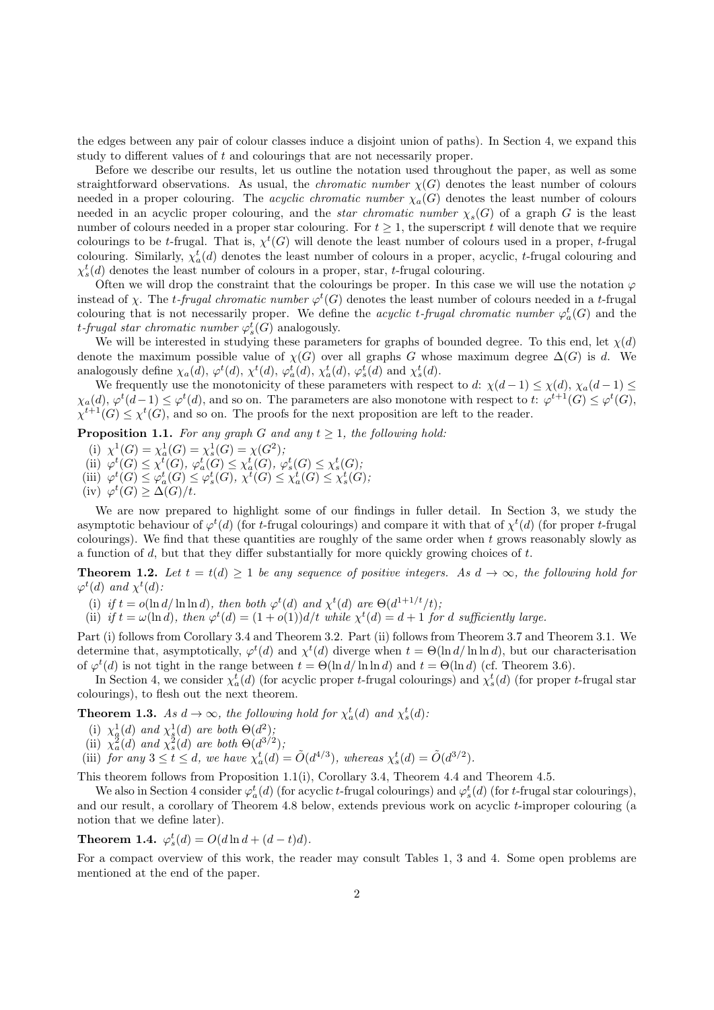the edges between any pair of colour classes induce a disjoint union of paths). In Section 4, we expand this study to different values of t and colourings that are not necessarily proper.

Before we describe our results, let us outline the notation used throughout the paper, as well as some straightforward observations. As usual, the *chromatic number*  $\chi(G)$  denotes the least number of colours needed in a proper colouring. The *acyclic chromatic number*  $\chi_a(G)$  denotes the least number of colours needed in an acyclic proper colouring, and the *star chromatic number*  $\chi_s(G)$  of a graph G is the least number of colours needed in a proper star colouring. For  $t \geq 1$ , the superscript t will denote that we require colourings to be t-frugal. That is,  $\chi^t(G)$  will denote the least number of colours used in a proper, t-frugal colouring. Similarly,  $\chi_a^t(d)$  denotes the least number of colours in a proper, acyclic, t-frugal colouring and  $\chi_s^t(d)$  denotes the least number of colours in a proper, star, t-frugal colouring.

Often we will drop the constraint that the colourings be proper. In this case we will use the notation  $\varphi$ instead of  $\chi$ . The t-frugal chromatic number  $\varphi^t(G)$  denotes the least number of colours needed in a t-frugal colouring that is not necessarily proper. We define the *acyclic t-frugal chromatic number*  $\varphi_a^t(G)$  and the t-frugal star chromatic number  $\varphi_s^t(G)$  analogously.

We will be interested in studying these parameters for graphs of bounded degree. To this end, let  $\chi(d)$ denote the maximum possible value of  $\chi(G)$  over all graphs G whose maximum degree  $\Delta(G)$  is d. We analogously define  $\chi_a(d)$ ,  $\varphi^t(d)$ ,  $\chi^t(d)$ ,  $\varphi^t_a(d)$ ,  $\chi^t_a(d)$ ,  $\varphi^t_s(d)$  and  $\chi^t_s(d)$ .

We frequently use the monotonicity of these parameters with respect to d:  $\chi(d-1) \leq \chi(d)$ ,  $\chi_a(d-1) \leq$  $\chi_a(d)$ ,  $\varphi^t(d-1) \leq \varphi^t(d)$ , and so on. The parameters are also monotone with respect to t:  $\varphi^{t+1}(G) \leq \varphi^t(G)$ ,  $\chi^{t+1}(G) \leq \chi^t(G)$ , and so on. The proofs for the next proposition are left to the reader.

**Proposition 1.1.** For any graph G and any  $t \geq 1$ , the following hold:

- (i)  $\chi^1(G) = \chi^1_a(G) = \chi^1_s(G) = \chi(G^2);$
- (i)  $\chi$  (G)  $-\chi_a$ (G)  $-\chi_s$ (G)  $-\chi$ (G)  $\chi^t$ <br>(ii)  $\varphi^t$ (G)  $\leq \chi^t$ (G)  $\leq \chi^t_a$ (G),  $\varphi^t_s$ (G)  $\leq \chi^t_s$ (G),
- (iii)  $\varphi^t(G) \leq \varphi^t_a(G) \leq \varphi^t_s(G), \chi^t(G) \leq \chi^t_a(G) \leq \chi^t_s(G)$
- (iv)  $\varphi^t(G) \geq \Delta(G)/t$ .

We are now prepared to highlight some of our findings in fuller detail. In Section 3, we study the asymptotic behaviour of  $\varphi^t(d)$  (for t-frugal colourings) and compare it with that of  $\chi^t(d)$  (for proper t-frugal colourings). We find that these quantities are roughly of the same order when  $t$  grows reasonably slowly as a function of  $d$ , but that they differ substantially for more quickly growing choices of  $t$ .

**Theorem 1.2.** Let  $t = t(d) \geq 1$  be any sequence of positive integers. As  $d \to \infty$ , the following hold for  $\varphi^t(d)$  and  $\chi^t(d)$ :

(i) if  $t = o(\ln d / \ln \ln d)$ , then both  $\varphi^t(d)$  and  $\chi^t(d)$  are  $\Theta(d^{1+1/t}/t)$ ;

(ii) if  $t = \omega(\ln d)$ , then  $\varphi^t(d) = (1 + o(1))d/t$  while  $\chi^t(d) = d + 1$  for d sufficiently large.

Part (i) follows from Corollary 3.4 and Theorem 3.2. Part (ii) follows from Theorem 3.7 and Theorem 3.1. We determine that, asymptotically,  $\varphi^t(d)$  and  $\chi^t(d)$  diverge when  $t = \Theta(\ln d / \ln \ln d)$ , but our characterisation of  $\varphi^t(d)$  is not tight in the range between  $t = \Theta(\ln d / \ln \ln d)$  and  $t = \Theta(\ln d)$  (cf. Theorem 3.6).

In Section 4, we consider  $\chi_a^t(d)$  (for acyclic proper t-frugal colourings) and  $\chi_s^t(d)$  (for proper t-frugal star colourings), to flesh out the next theorem.

**Theorem 1.3.** As  $d \to \infty$ , the following hold for  $\chi_a^t(d)$  and  $\chi_s^t(d)$ :

- (i)  $\chi^1_{\mathfrak{g}}(d)$  and  $\chi^1_{\mathfrak{g}}(d)$  are both  $\Theta(d^2)$ ;
- (ii)  $\chi^2_a(d)$  and  $\chi^2_s(d)$  are both  $\Theta(d^{3/2})$ ;
- (iii) for any  $3 \le t \le d$ , we have  $\chi_a^t(d) = \tilde{O}(d^{4/3})$ , whereas  $\chi_s^t(d) = \tilde{O}(d^{3/2})$ .

This theorem follows from Proposition 1.1(i), Corollary 3.4, Theorem 4.4 and Theorem 4.5.

We also in Section 4 consider  $\varphi_a^t(d)$  (for acyclic t-frugal colourings) and  $\varphi_s^t(d)$  (for t-frugal star colourings), and our result, a corollary of Theorem 4.8 below, extends previous work on acyclic t-improper colouring (a notion that we define later).

**Theorem 1.4.**  $\varphi_s^t(d) = O(d \ln d + (d - t)d)$ .

For a compact overview of this work, the reader may consult Tables 1, 3 and 4. Some open problems are mentioned at the end of the paper.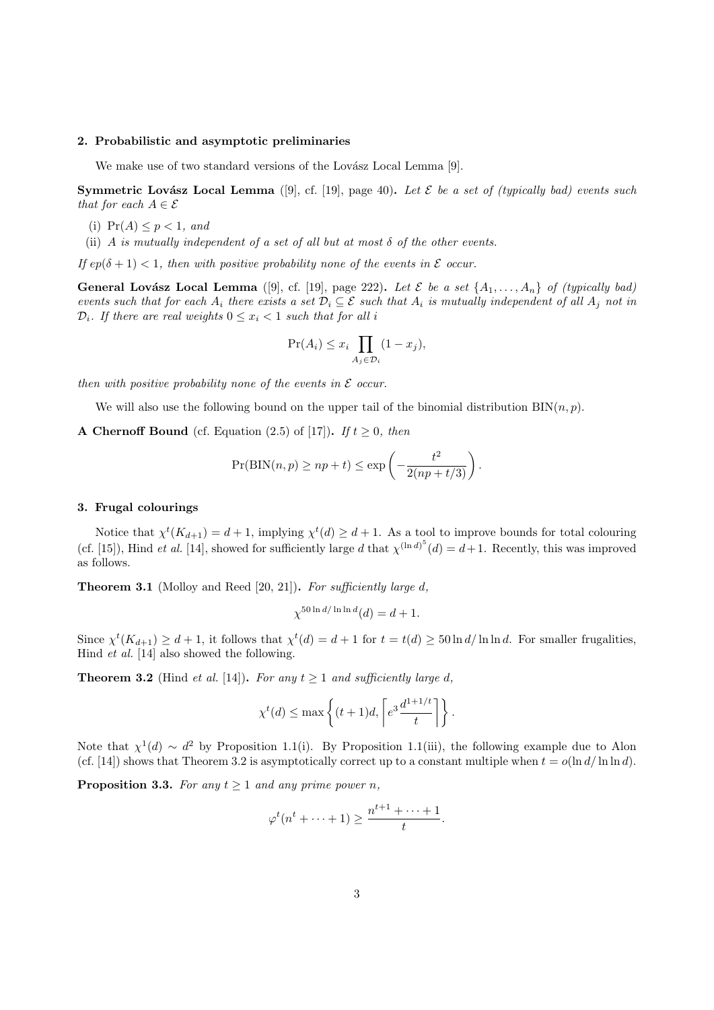## 2. Probabilistic and asymptotic preliminaries

We make use of two standard versions of the Lovász Local Lemma [9].

Symmetric Lovász Local Lemma ([9], cf. [19], page 40). Let  $\mathcal E$  be a set of (typically bad) events such that for each  $A \in \mathcal{E}$ 

- (i)  $Pr(A) \leq p < 1$ , and
- (ii) A is mutually independent of a set of all but at most  $\delta$  of the other events.

If  $ep(\delta + 1) < 1$ , then with positive probability none of the events in  $\mathcal E$  occur.

**General Lovász Local Lemma** ([9], cf. [19], page 222). Let  $\mathcal{E}$  be a set  $\{A_1, \ldots, A_n\}$  of (typically bad) events such that for each  $A_i$  there exists a set  $\mathcal{D}_i \subseteq \mathcal{E}$  such that  $A_i$  is mutually independent of all  $A_i$  not in  $\mathcal{D}_i$ . If there are real weights  $0 \leq x_i < 1$  such that for all i

$$
\Pr(A_i) \le x_i \prod_{A_j \in \mathcal{D}_i} (1 - x_j),
$$

then with positive probability none of the events in  $\mathcal E$  occur.

We will also use the following bound on the upper tail of the binomial distribution  $\text{BIN}(n, p)$ .

A Chernoff Bound (cf. Equation (2.5) of [17]). If  $t \geq 0$ , then

$$
Pr(BIN(n, p) \ge np + t) \le \exp\left(-\frac{t^2}{2(np + t/3)}\right).
$$

## 3. Frugal colourings

Notice that  $\chi^t(K_{d+1}) = d+1$ , implying  $\chi^t(d) \geq d+1$ . As a tool to improve bounds for total colouring (cf. [15]), Hind *et al.* [14], showed for sufficiently large d that  $\chi^{(\ln d)^5}(d) = d+1$ . Recently, this was improved as follows.

**Theorem 3.1** (Molloy and Reed [20, 21]). For sufficiently large  $d$ ,

$$
\chi^{50\ln d/\ln\ln d}(d) = d+1.
$$

Since  $\chi^t(K_{d+1}) \geq d+1$ , it follows that  $\chi^t(d) = d+1$  for  $t = t(d) \geq 50 \ln d / \ln \ln d$ . For smaller frugalities, Hind et al. [14] also showed the following.

**Theorem 3.2** (Hind *et al.* [14]). For any  $t \ge 1$  and sufficiently large d,

$$
\chi^t(d) \le \max\left\{ (t+1)d, \left\lceil e^{3} \frac{d^{1+1/t}}{t} \right\rceil \right\}.
$$

Note that  $\chi^1(d) \sim d^2$  by Proposition 1.1(i). By Proposition 1.1(iii), the following example due to Alon (cf. [14]) shows that Theorem 3.2 is asymptotically correct up to a constant multiple when  $t = o(\ln d / \ln \ln d)$ .

**Proposition 3.3.** For any  $t \geq 1$  and any prime power n,

$$
\varphi^t(n^t + \dots + 1) \ge \frac{n^{t+1} + \dots + 1}{t}.
$$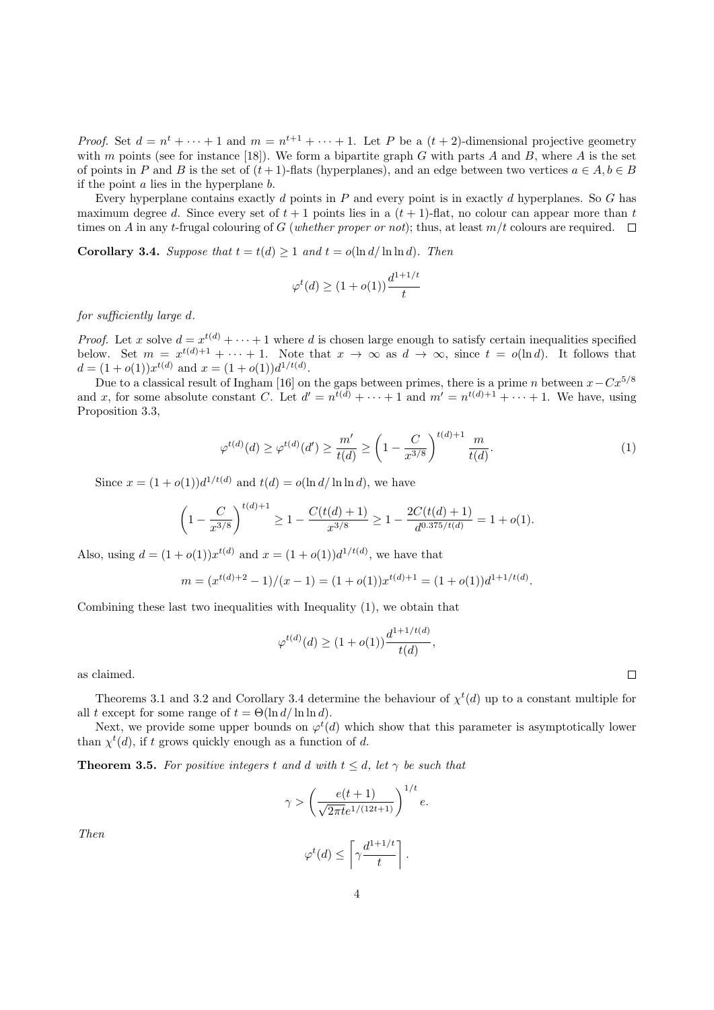*Proof.* Set  $d = n^t + \cdots + 1$  and  $m = n^{t+1} + \cdots + 1$ . Let P be a  $(t+2)$ -dimensional projective geometry with m points (see for instance [18]). We form a bipartite graph G with parts A and B, where A is the set of points in P and B is the set of  $(t + 1)$ -flats (hyperplanes), and an edge between two vertices  $a \in A, b \in B$ if the point  $a$  lies in the hyperplane  $b$ .

Every hyperplane contains exactly d points in P and every point is in exactly d hyperplanes. So G has maximum degree d. Since every set of  $t + 1$  points lies in a  $(t + 1)$ -flat, no colour can appear more than t times on A in any t-frugal colouring of G (whether proper or not); thus, at least  $m/t$  colours are required.  $\square$ 

**Corollary 3.4.** Suppose that  $t = t(d) \ge 1$  and  $t = o(\ln d / \ln \ln d)$ . Then

$$
\varphi^t(d) \ge (1 + o(1)) \frac{d^{1+1/t}}{t}
$$

for sufficiently large d.

*Proof.* Let x solve  $d = x^{t(d)} + \cdots + 1$  where d is chosen large enough to satisfy certain inequalities specified below. Set  $m = x^{t(d)+1} + \cdots + 1$ . Note that  $x \to \infty$  as  $d \to \infty$ , since  $t = o(\ln d)$ . It follows that  $d = (1 + o(1))x^{t(d)}$  and  $x = (1 + o(1))d^{1/t(d)}$ .

Due to a classical result of Ingham [16] on the gaps between primes, there is a prime n between  $x-Cx^{5/8}$ and x, for some absolute constant C. Let  $d' = n^{t(d)} + \cdots + 1$  and  $m' = n^{t(d)+1} + \cdots + 1$ . We have, using Proposition 3.3,

$$
\varphi^{t(d)}(d) \ge \varphi^{t(d)}(d') \ge \frac{m'}{t(d)} \ge \left(1 - \frac{C}{x^{3/8}}\right)^{t(d)+1} \frac{m}{t(d)}.\tag{1}
$$

Since  $x = (1 + o(1))d^{1/t(d)}$  and  $t(d) = o(\ln d/\ln \ln d)$ , we have

$$
\left(1 - \frac{C}{x^{3/8}}\right)^{t(d)+1} \ge 1 - \frac{C(t(d)+1)}{x^{3/8}} \ge 1 - \frac{2C(t(d)+1)}{d^{0.375/t(d)}} = 1 + o(1).
$$

Also, using  $d = (1 + o(1))x^{t(d)}$  and  $x = (1 + o(1))d^{1/t(d)}$ , we have that

$$
m = (x^{t(d)+2} - 1)/(x - 1) = (1 + o(1))x^{t(d)+1} = (1 + o(1))d^{1+1/t(d)}.
$$

Combining these last two inequalities with Inequality (1), we obtain that

$$
\varphi^{t(d)}(d) \ge (1 + o(1)) \frac{d^{1+1/t(d)}}{t(d)},
$$

as claimed.

Theorems 3.1 and 3.2 and Corollary 3.4 determine the behaviour of  $\chi^t(d)$  up to a constant multiple for all t except for some range of  $t = \Theta(\ln d / \ln \ln d)$ .

Next, we provide some upper bounds on  $\varphi^t(d)$  which show that this parameter is asymptotically lower than  $\chi^t(d)$ , if t grows quickly enough as a function of d.

**Theorem 3.5.** For positive integers t and d with  $t \leq d$ , let  $\gamma$  be such that

$$
\gamma > \left(\frac{e(t+1)}{\sqrt{2\pi t}e^{1/(12t+1)}}\right)^{1/t}e.
$$

Then

$$
\varphi^t(d) \leq \left\lceil \gamma \frac{d^{1+1/t}}{t} \right\rceil.
$$

 $\Box$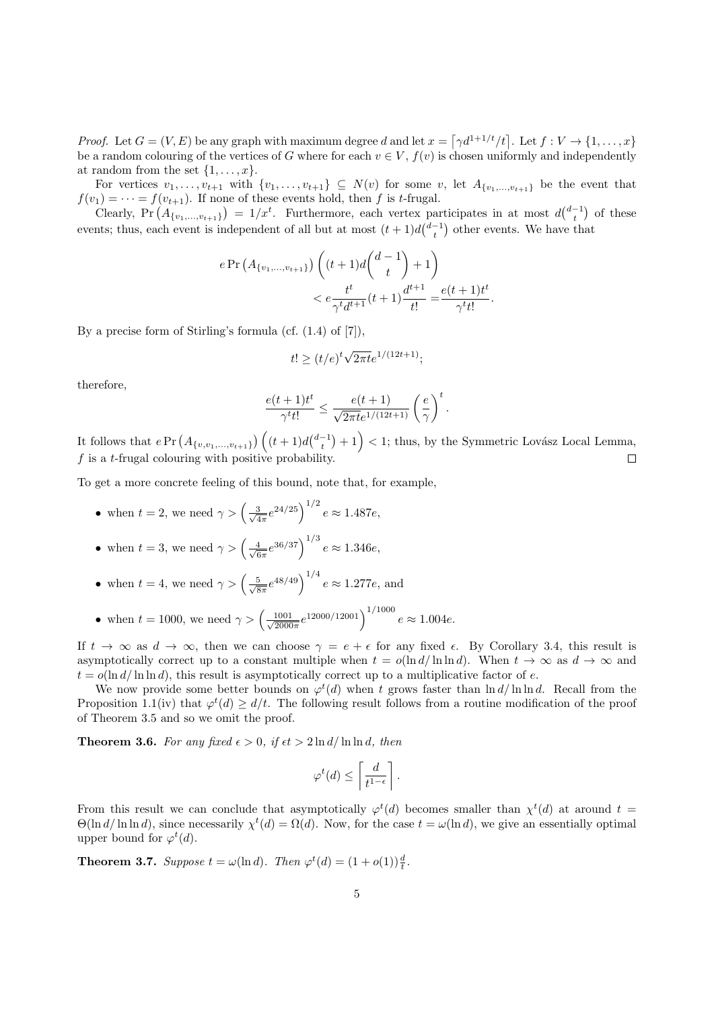*Proof.* Let  $G = (V, E)$  be any graph with maximum degree d and let  $x = \lceil \gamma d^{1+1/t}/t \rceil$ . Let  $f : V \to \{1, ..., x\}$ be a random colouring of the vertices of G where for each  $v \in V$ ,  $f(v)$  is chosen uniformly and independently at random from the set  $\{1, \ldots, x\}$ .

For vertices  $v_1, \ldots, v_{t+1}$  with  $\{v_1, \ldots, v_{t+1}\} \subseteq N(v)$  for some v, let  $A_{\{v_1, \ldots, v_{t+1}\}}$  be the event that  $f(v_1) = \cdots = f(v_{t+1})$ . If none of these events hold, then f is t-frugal.

Clearly, Pr  $(A_{\{v_1,\ldots,v_{t+1}\}}) = 1/x^t$ . Furthermore, each vertex participates in at most  $d\binom{d-1}{t}$  of these events; thus, each event is independent of all but at most  $(t+1)d\binom{d-1}{t}$  other events. We have that

$$
e \Pr\left(A_{\{v_1,\dots,v_{t+1}\}}\right) \left( (t+1)d \binom{d-1}{t} + 1 \right) < e \frac{t^t}{\gamma^t d^{t+1}}(t+1) \frac{d^{t+1}}{t!} = \frac{e(t+1)t^t}{\gamma^t t!}.
$$

By a precise form of Stirling's formula (cf.  $(1.4)$  of  $[7]$ ),

$$
t! \ge (t/e)^t \sqrt{2\pi t} e^{1/(12t+1)};
$$

therefore,

$$
\frac{e(t+1)t^t}{\gamma^t t!} \leq \frac{e(t+1)}{\sqrt{2\pi t}e^{1/(12t+1)}} \left(\frac{e}{\gamma}\right)^t.
$$

It follows that  $e\Pr\left(A_{\{v,v_1,...,v_{t+1}\}}\right)\left((t+1)d\binom{d-1}{t}+1\right) < 1$ ; thus, by the Symmetric Lovász Local Lemma,  $f$  is a t-frugal colouring with positive probability.  $\Box$ 

To get a more concrete feeling of this bound, note that, for example,

• when 
$$
t = 2
$$
, we need  $\gamma > \left(\frac{3}{\sqrt{4\pi}}e^{24/25}\right)^{1/2}e \approx 1.487e$ ,

- when  $t = 3$ , we need  $\gamma > \left(\frac{4}{\sqrt{6}}\right)$  $\frac{4}{6\pi}e^{36/37}\Big)^{1/3}e \approx 1.346e,$
- when  $t = 4$ , we need  $\gamma > \left(\frac{5}{\sqrt{6}}\right)$  $\frac{5}{8\pi}e^{48/49}\right)^{1/4}e \approx 1.277e$ , and
- when  $t = 1000$ , we need  $\gamma > \left(\frac{1001}{\sqrt{20000}}\right)$  $\frac{1001}{2000\pi}e^{12000/12001}\right)^{1/1000}e \approx 1.004e.$

If  $t \to \infty$  as  $d \to \infty$ , then we can choose  $\gamma = e + \epsilon$  for any fixed  $\epsilon$ . By Corollary 3.4, this result is asymptotically correct up to a constant multiple when  $t = o(\ln d/\ln \ln d)$ . When  $t \to \infty$  as  $d \to \infty$  and  $t = o(\ln d / \ln \ln d)$ , this result is asymptotically correct up to a multiplicative factor of e.

We now provide some better bounds on  $\varphi^t(d)$  when t grows faster than  $\ln d/\ln \ln d$ . Recall from the Proposition 1.1(iv) that  $\varphi^t(d) \geq d/t$ . The following result follows from a routine modification of the proof of Theorem 3.5 and so we omit the proof.

**Theorem 3.6.** For any fixed  $\epsilon > 0$ , if  $\epsilon t > 2 \ln d / \ln \ln d$ , then

$$
\varphi^t(d) \le \left\lceil \frac{d}{t^{1-\epsilon}} \right\rceil.
$$

From this result we can conclude that asymptotically  $\varphi^t(d)$  becomes smaller than  $\chi^t(d)$  at around  $t =$  $\Theta(\ln d/\ln \ln d)$ , since necessarily  $\chi^t(d) = \Omega(d)$ . Now, for the case  $t = \omega(\ln d)$ , we give an essentially optimal upper bound for  $\varphi^t(d)$ .

**Theorem 3.7.** Suppose  $t = \omega(\ln d)$ . Then  $\varphi^t(d) = (1 + o(1))\frac{d}{t}$ .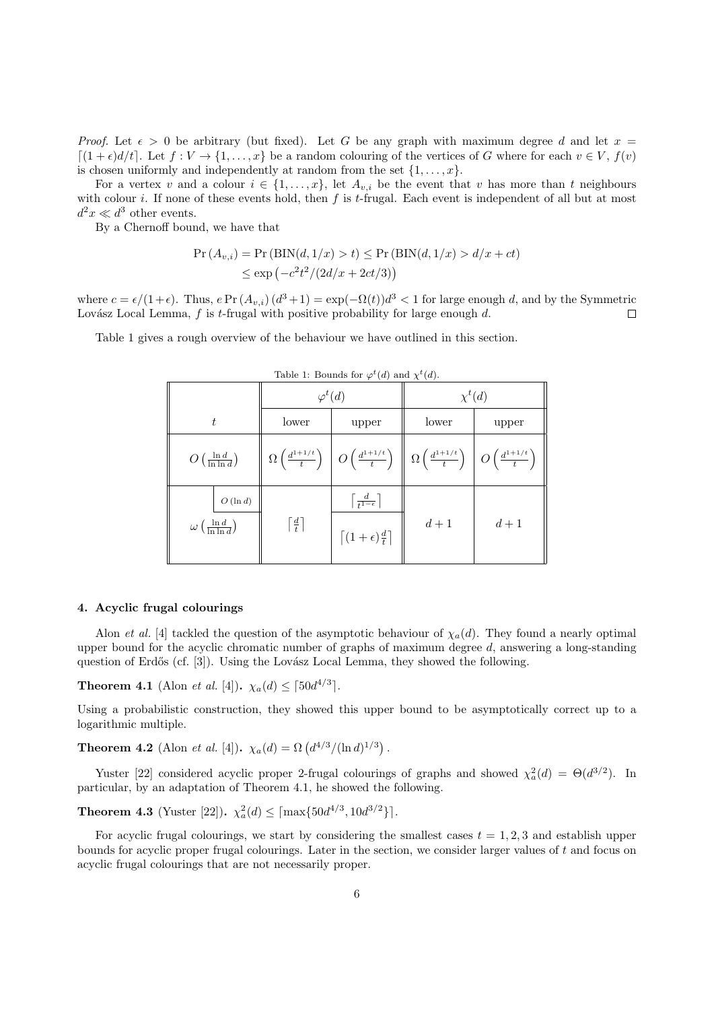*Proof.* Let  $\epsilon > 0$  be arbitrary (but fixed). Let G be any graph with maximum degree d and let  $x =$  $\lceil(1+\epsilon)d/t\rceil$ . Let  $f: V \to \{1,\ldots,x\}$  be a random colouring of the vertices of G where for each  $v \in V$ ,  $f(v)$ is chosen uniformly and independently at random from the set  $\{1, \ldots, x\}$ .

For a vertex v and a colour  $i \in \{1, \ldots, x\}$ , let  $A_{v,i}$  be the event that v has more than t neighbours with colour i. If none of these events hold, then  $f$  is t-frugal. Each event is independent of all but at most  $d^2x \ll d^3$  other events.

By a Chernoff bound, we have that

$$
\Pr(A_{v,i}) = \Pr\left(\text{BIN}(d, 1/x) > t\right) \le \Pr\left(\text{BIN}(d, 1/x) > d/x + ct\right)
$$
\n
$$
\le \exp\left(-c^2t^2/(2d/x + 2ct/3)\right)
$$

where  $c = \epsilon/(1+\epsilon)$ . Thus,  $e \Pr(A_{v,i})$   $(d^3+1) = \exp(-\Omega(t))d^3 < 1$  for large enough d, and by the Symmetric Lovász Local Lemma,  $f$  is t-frugal with positive probability for large enough  $d$ .  $\Box$ 

Table 1 gives a rough overview of the behaviour we have outlined in this section.

| $T(\mathbb{Z})$ and $\Lambda(\mathbb{Z})$ .                |                             |                                                                                                                                                                                                              |             |       |  |  |
|------------------------------------------------------------|-----------------------------|--------------------------------------------------------------------------------------------------------------------------------------------------------------------------------------------------------------|-------------|-------|--|--|
|                                                            | $\varphi^t(d)$              |                                                                                                                                                                                                              | $\chi^t(d)$ |       |  |  |
| $t\,$                                                      | lower                       | upper                                                                                                                                                                                                        | lower       | upper |  |  |
| $O\left(\frac{\ln d}{\ln \ln d}\right)$                    |                             | $\Omega\left(\frac{d^{1+1/t}}{t}\right)\left \right. O\left(\frac{d^{1+1/t}}{t}\right)\; \left\ \right. \Omega\left(\frac{d^{1+1/t}}{t}\right)\left.\right \left. O\left(\frac{d^{1+1/t}}{t}\right)\right\ $ |             |       |  |  |
| $O(\ln d)$<br>$\omega\left(\frac{\ln d}{\ln \ln d}\right)$ | $\lceil \frac{d}{t} \rceil$ | $\left\lceil \frac{d}{t^{1-\epsilon}} \right\rceil$<br>$\left[ (1+\epsilon)\frac{d}{t} \right]$                                                                                                              | $d+1$       | $d+1$ |  |  |

| Table 1: Bounds for $\varphi^t(d)$ and $\chi^t(d)$ . |  |  |  |  |  |  |
|------------------------------------------------------|--|--|--|--|--|--|
|------------------------------------------------------|--|--|--|--|--|--|

## 4. Acyclic frugal colourings

Alon *et al.* [4] tackled the question of the asymptotic behaviour of  $\chi_a(d)$ . They found a nearly optimal upper bound for the acyclic chromatic number of graphs of maximum degree  $d$ , answering a long-standing question of Erdős (cf. [3]). Using the Lovász Local Lemma, they showed the following.

**Theorem 4.1** (Alon *et al.* [4]).  $\chi_a(d) \leq \lceil 50d^{4/3} \rceil$ .

Using a probabilistic construction, they showed this upper bound to be asymptotically correct up to a logarithmic multiple.

**Theorem 4.2** (Alon *et al.* [4]).  $\chi_a(d) = \Omega \left( \frac{d^{4/3}}{(\ln d)^{1/3}} \right)$ .

Yuster [22] considered acyclic proper 2-frugal colourings of graphs and showed  $\chi^2_a(d) = \Theta(d^{3/2})$ . In particular, by an adaptation of Theorem 4.1, he showed the following.

**Theorem 4.3** (Yuster [22]).  $\chi_a^2(d) \leq [\max\{50d^{4/3}, 10d^{3/2}\}].$ 

For acyclic frugal colourings, we start by considering the smallest cases  $t = 1, 2, 3$  and establish upper bounds for acyclic proper frugal colourings. Later in the section, we consider larger values of  $t$  and focus on acyclic frugal colourings that are not necessarily proper.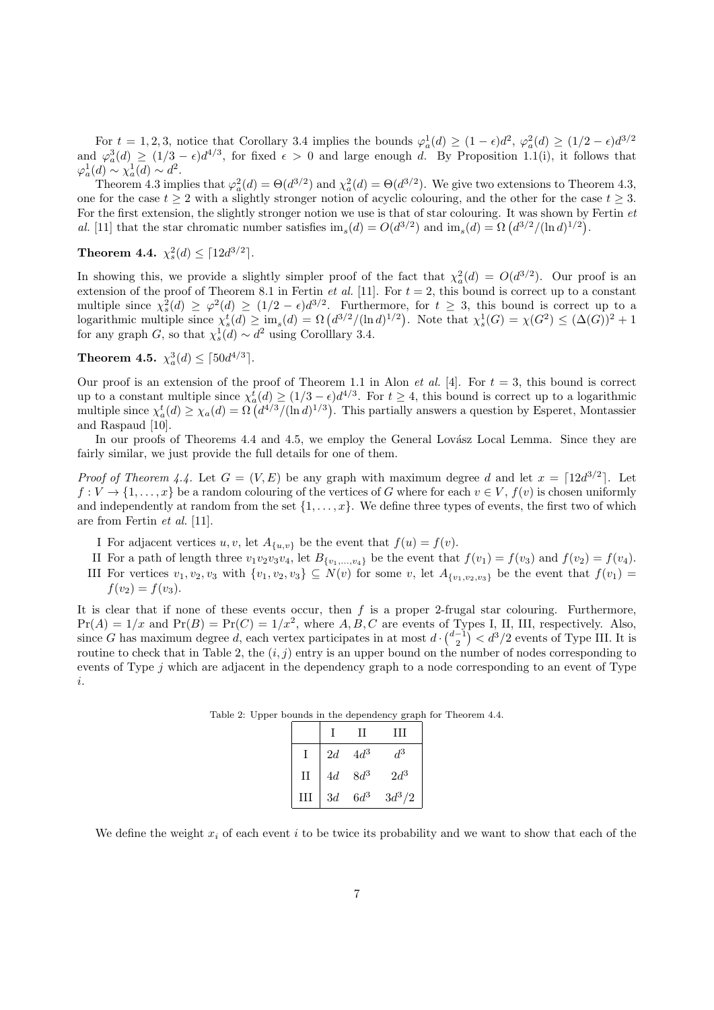For  $t = 1, 2, 3$ , notice that Corollary 3.4 implies the bounds  $\varphi_a^1(d) \ge (1 - \epsilon) d^2$ ,  $\varphi_a^2(d) \ge (1/2 - \epsilon) d^{3/2}$ and  $\varphi_a^3(d) \ge (1/3 - \epsilon) d^{4/3}$ , for fixed  $\epsilon > 0$  and large enough d. By Proposition 1.1(i), it follows that  $\varphi_a^1(d) \sim \chi_a^1(d) \sim d^2.$ 

Theorem 4.3 implies that  $\varphi_a^2(d) = \Theta(d^{3/2})$  and  $\chi_a^2(d) = \Theta(d^{3/2})$ . We give two extensions to Theorem 4.3, one for the case  $t \geq 2$  with a slightly stronger notion of acyclic colouring, and the other for the case  $t \geq 3$ . For the first extension, the slightly stronger notion we use is that of star colouring. It was shown by Fertin et al. [11] that the star chromatic number satisfies  $\text{im}_s(d) = O(d^{3/2})$  and  $\text{im}_s(d) = \Omega(d^{3/2}/(\ln d)^{1/2})$ .

**Theorem 4.4.**  $\chi_s^2(d) \leq \lceil 12d^{3/2} \rceil$ .

In showing this, we provide a slightly simpler proof of the fact that  $\chi^2_a(d) = O(d^{3/2})$ . Our proof is an extension of the proof of Theorem 8.1 in Fertin *et al.* [11]. For  $t = 2$ , this bound is correct up to a constant multiple since  $\chi_s^2(d) \geq \varphi^2(d) \geq (1/2 - \epsilon) d^{3/2}$ . Furthermore, for  $t \geq 3$ , this bound is correct up to a logarithmic multiple since  $\chi_s^t(d) \ge \lim_s(d) = \Omega\left(d^{3/2}/(\ln d)^{1/2}\right)$ . Note that  $\chi_s^1(G) = \chi(G^2) \le (\Delta(G))^2 + 1$ for any graph G, so that  $\chi_s^1(d) \sim d^2$  using Corollary 3.4.

**Theorem 4.5.**  $\chi^3_a(d) \leq \lceil 50d^{4/3} \rceil$ .

Our proof is an extension of the proof of Theorem 1.1 in Alon *et al.* [4]. For  $t = 3$ , this bound is correct up to a constant multiple since  $\chi_a^t(d) \geq (1/3 - \epsilon) d^{4/3}$ . For  $t \geq 4$ , this bound is correct up to a logarithmic multiple since  $\chi_a^t(d) \ge \chi_a(d) = \Omega\left(d^{4/3}/(\ln d)^{1/3}\right)$ . This partially answers a question by Esperet, Montassier and Raspaud [10].

In our proofs of Theorems 4.4 and 4.5, we employ the General Lovász Local Lemma. Since they are fairly similar, we just provide the full details for one of them.

*Proof of Theorem 4.4.* Let  $G = (V, E)$  be any graph with maximum degree d and let  $x = \lceil 12d^{3/2} \rceil$ . Let  $f: V \to \{1, \ldots, x\}$  be a random colouring of the vertices of G where for each  $v \in V$ ,  $f(v)$  is chosen uniformly and independently at random from the set  $\{1, \ldots, x\}$ . We define three types of events, the first two of which are from Fertin et al. [11].

I For adjacent vertices u, v, let  $A_{\{u,v\}}$  be the event that  $f(u) = f(v)$ .

II For a path of length three  $v_1v_2v_3v_4$ , let  $B_{\{v_1,\ldots,v_4\}}$  be the event that  $f(v_1) = f(v_3)$  and  $f(v_2) = f(v_4)$ . III For vertices  $v_1, v_2, v_3$  with  $\{v_1, v_2, v_3\} \subseteq N(v)$  for some v, let  $A_{\{v_1, v_2, v_3\}}$  be the event that  $f(v_1)$  $f(v_2) = f(v_3)$ .

It is clear that if none of these events occur, then  $f$  is a proper 2-frugal star colouring. Furthermore,  $Pr(A) = 1/x$  and  $Pr(B) = Pr(C) = 1/x^2$ , where A, B, C are events of Types I, II, III, respectively. Also, since G has maximum degree d, each vertex participates in at most  $d \cdot \binom{d-1}{2} < d^3/2$  events of Type III. It is routine to check that in Table 2, the  $(i, j)$  entry is an upper bound on the number of nodes corresponding to events of Type j which are adjacent in the dependency graph to a node corresponding to an event of Type i.

Table 2: Upper bounds in the dependency graph for Theorem 4.4.

|              |    | Ш      | ПI       |
|--------------|----|--------|----------|
|              | 2d | $4d^3$ | $d^3$    |
| $\mathbf{H}$ | 4d | $8d^3$ | $2d^3$   |
| Ш            | 3d | $6d^3$ | $3d^3/2$ |

We define the weight  $x_i$  of each event i to be twice its probability and we want to show that each of the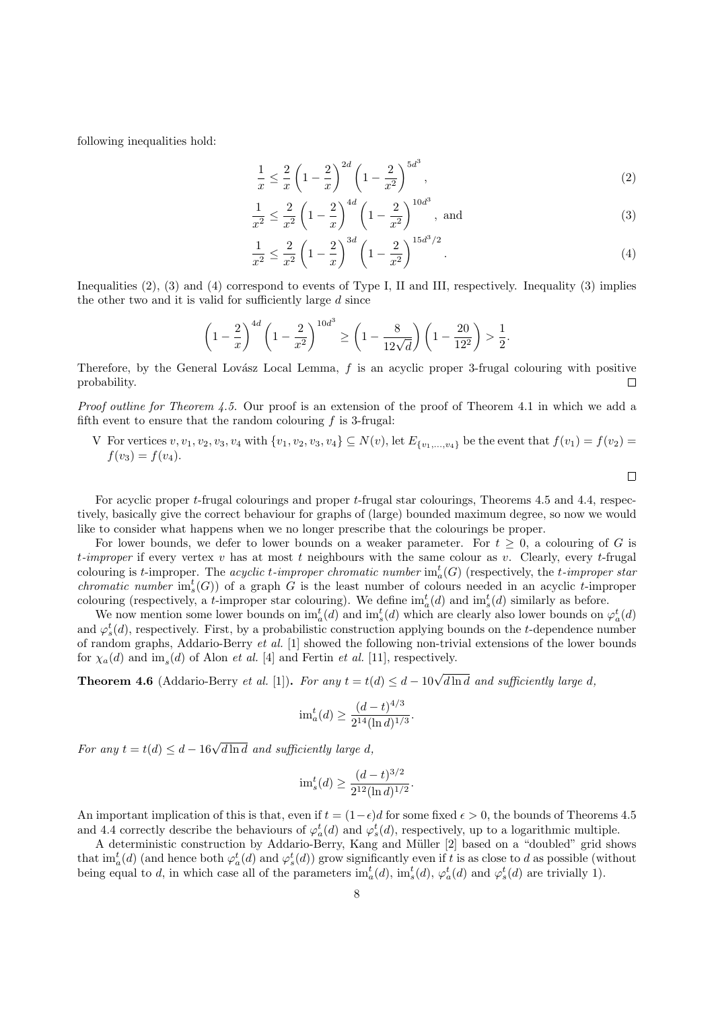following inequalities hold:

$$
\frac{1}{x} \le \frac{2}{x} \left( 1 - \frac{2}{x} \right)^{2d} \left( 1 - \frac{2}{x^2} \right)^{5d^3},\tag{2}
$$

$$
\frac{1}{x^2} \le \frac{2}{x^2} \left( 1 - \frac{2}{x} \right)^{4d} \left( 1 - \frac{2}{x^2} \right)^{10d^3}, \text{ and} \tag{3}
$$

$$
\frac{1}{x^2} \le \frac{2}{x^2} \left( 1 - \frac{2}{x} \right)^{3d} \left( 1 - \frac{2}{x^2} \right)^{15d^3/2}.
$$
\n(4)

Inequalities (2), (3) and (4) correspond to events of Type I, II and III, respectively. Inequality (3) implies the other two and it is valid for sufficiently large  $d$  since

$$
\left(1 - \frac{2}{x}\right)^{4d} \left(1 - \frac{2}{x^2}\right)^{10d^3} \ge \left(1 - \frac{8}{12\sqrt{d}}\right) \left(1 - \frac{20}{12^2}\right) > \frac{1}{2}.
$$

Therefore, by the General Lovász Local Lemma,  $f$  is an acyclic proper 3-frugal colouring with positive probability. П

Proof outline for Theorem 4.5. Our proof is an extension of the proof of Theorem 4.1 in which we add a fifth event to ensure that the random colouring  $f$  is 3-frugal:

V For vertices  $v, v_1, v_2, v_3, v_4$  with  $\{v_1, v_2, v_3, v_4\} \subseteq N(v)$ , let  $E_{\{v_1,...,v_4\}}$  be the event that  $f(v_1) = f(v_2) =$  $f(v_3) = f(v_4)$ .

For acyclic proper t-frugal colourings and proper t-frugal star colourings, Theorems 4.5 and 4.4, respectively, basically give the correct behaviour for graphs of (large) bounded maximum degree, so now we would like to consider what happens when we no longer prescribe that the colourings be proper.

For lower bounds, we defer to lower bounds on a weaker parameter. For  $t \geq 0$ , a colouring of G is t-improper if every vertex v has at most t neighbours with the same colour as v. Clearly, every t-frugal colouring is t-improper. The *acyclic t-improper chromatic number*  $im_a^t(G)$  (respectively, the t-improper star *chromatic number*  $im_s^t(G)$  of a graph G is the least number of colours needed in an acyclic t-improper colouring (respectively, a *t*-improper star colouring). We define  $im_a^t(d)$  and  $im_s^t(d)$  similarly as before.

We now mention some lower bounds on  $\text{im}_a^t(d)$  and  $\text{im}_s^t(d)$  which are clearly also lower bounds on  $\varphi_a^t(d)$ and  $\varphi_s^t(d)$ , respectively. First, by a probabilistic construction applying bounds on the t-dependence number of random graphs, Addario-Berry et al. [1] showed the following non-trivial extensions of the lower bounds for  $\chi_a(d)$  and  $\text{im}_s(d)$  of Alon *et al.* [4] and Fertin *et al.* [11], respectively.

**Theorem 4.6** (Addario-Berry *et al.* [1]). For any  $t = t(d) \le d - 10\sqrt{d \ln d}$  and sufficiently large d,

$$
\mathrm{im}_a^t(d) \ge \frac{(d-t)^{4/3}}{2^{14}(\ln d)^{1/3}}.
$$

For any  $t = t(d) \leq d - 16\sqrt{d \ln d}$  and sufficiently large d,

$$
\mathrm{im}_s^t(d) \ge \frac{(d-t)^{3/2}}{2^{12}(\ln d)^{1/2}}.
$$

An important implication of this is that, even if  $t = (1-\epsilon)d$  for some fixed  $\epsilon > 0$ , the bounds of Theorems 4.5 and 4.4 correctly describe the behaviours of  $\varphi_a^t(d)$  and  $\varphi_s^t(d)$ , respectively, up to a logarithmic multiple.

A deterministic construction by Addario-Berry, Kang and Müller [2] based on a "doubled" grid shows that  $\text{im}_a^t(d)$  (and hence both  $\varphi_a^t(d)$  and  $\varphi_s^t(d)$ ) grow significantly even if t is as close to d as possible (without being equal to d, in which case all of the parameters  $\text{im}_a^t(d)$ ,  $\text{im}_s^t(d)$ ,  $\varphi_a^t(d)$  and  $\varphi_s^t(d)$  are trivially 1).

 $\Box$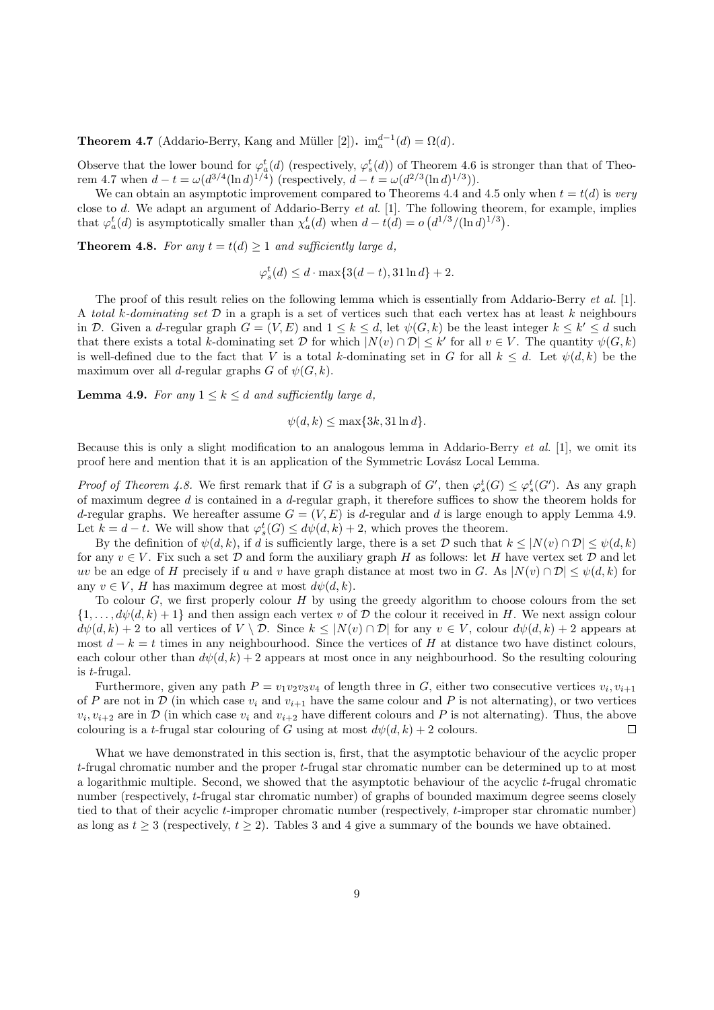**Theorem 4.7** (Addario-Berry, Kang and Müller [2]).  $\text{im}_a^{d-1}(d) = \Omega(d)$ .

Observe that the lower bound for  $\varphi_a^t(d)$  (respectively,  $\varphi_s^t(d)$ ) of Theorem 4.6 is stronger than that of Theorem 4.7 when  $d - t = \omega(d^{3/4}(\ln d)^{1/4})$  (respectively,  $d - t = \omega(d^{2/3}(\ln d)^{1/3})$ ).

We can obtain an asymptotic improvement compared to Theorems 4.4 and 4.5 only when  $t = t(d)$  is very close to d. We adapt an argument of Addario-Berry et al. [1]. The following theorem, for example, implies that  $\varphi_a^t(d)$  is asymptotically smaller than  $\chi_a^t(d)$  when  $d - t(d) = o\left(\frac{d^{1/3}}{(\ln d)^{1/3}}\right)$ .

**Theorem 4.8.** For any  $t = t(d) > 1$  and sufficiently large d,

$$
\varphi_s^t(d) \le d \cdot \max\{3(d-t), 31 \ln d\} + 2.
$$

The proof of this result relies on the following lemma which is essentially from Addario-Berry *et al.* [1]. A total k-dominating set  $D$  in a graph is a set of vertices such that each vertex has at least k neighbours in D. Given a d-regular graph  $G = (V, E)$  and  $1 \leq k \leq d$ , let  $\psi(G, k)$  be the least integer  $k \leq k' \leq d$  such that there exists a total k-dominating set D for which  $|N(v) \cap \mathcal{D}| \leq k'$  for all  $v \in V$ . The quantity  $\psi(G, k)$ is well-defined due to the fact that V is a total k-dominating set in G for all  $k \leq d$ . Let  $\psi(d, k)$  be the maximum over all d-regular graphs G of  $\psi(G, k)$ .

**Lemma 4.9.** For any  $1 \leq k \leq d$  and sufficiently large d,

$$
\psi(d,k) \le \max\{3k, 31\ln d\}.
$$

Because this is only a slight modification to an analogous lemma in Addario-Berry et al. [1], we omit its proof here and mention that it is an application of the Symmetric Lovász Local Lemma.

*Proof of Theorem 4.8.* We first remark that if G is a subgraph of G', then  $\varphi_s^t(G) \leq \varphi_s^t(G')$ . As any graph of maximum degree  $d$  is contained in a  $d$ -regular graph, it therefore suffices to show the theorem holds for d-regular graphs. We hereafter assume  $G = (V, E)$  is d-regular and d is large enough to apply Lemma 4.9. Let  $k = d - t$ . We will show that  $\varphi_s^t(G) \leq d\psi(d, k) + 2$ , which proves the theorem.

By the definition of  $\psi(d, k)$ , if d is sufficiently large, there is a set D such that  $k \leq |N(v) \cap \mathcal{D}| \leq \psi(d, k)$ for any  $v \in V$ . Fix such a set  $D$  and form the auxiliary graph H as follows: let H have vertex set  $D$  and let uv be an edge of H precisely if u and v have graph distance at most two in G. As  $|N(v) \cap \mathcal{D}| \leq \psi(d, k)$  for any  $v \in V$ , H has maximum degree at most  $d\psi(d, k)$ .

To colour  $G$ , we first properly colour  $H$  by using the greedy algorithm to choose colours from the set  $\{1,\ldots,d\psi(d,k)+1\}$  and then assign each vertex v of D the colour it received in H. We next assign colour  $d\psi(d, k) + 2$  to all vertices of  $V \setminus \mathcal{D}$ . Since  $k \leq |N(v) \cap \mathcal{D}|$  for any  $v \in V$ , colour  $d\psi(d, k) + 2$  appears at most  $d - k = t$  times in any neighbourhood. Since the vertices of H at distance two have distinct colours, each colour other than  $d\psi(d, k) + 2$  appears at most once in any neighbourhood. So the resulting colouring is t-frugal.

Furthermore, given any path  $P = v_1v_2v_3v_4$  of length three in G, either two consecutive vertices  $v_i, v_{i+1}$ of P are not in  $\mathcal D$  (in which case  $v_i$  and  $v_{i+1}$  have the same colour and P is not alternating), or two vertices  $v_i, v_{i+2}$  are in  $\mathcal D$  (in which case  $v_i$  and  $v_{i+2}$  have different colours and P is not alternating). Thus, the above colouring is a t-frugal star colouring of G using at most  $d\psi(d, k) + 2$  colours.  $\Box$ 

What we have demonstrated in this section is, first, that the asymptotic behaviour of the acyclic proper t-frugal chromatic number and the proper t-frugal star chromatic number can be determined up to at most a logarithmic multiple. Second, we showed that the asymptotic behaviour of the acyclic  $t$ -frugal chromatic number (respectively, t-frugal star chromatic number) of graphs of bounded maximum degree seems closely tied to that of their acyclic t-improper chromatic number (respectively, t-improper star chromatic number) as long as  $t \geq 3$  (respectively,  $t \geq 2$ ). Tables 3 and 4 give a summary of the bounds we have obtained.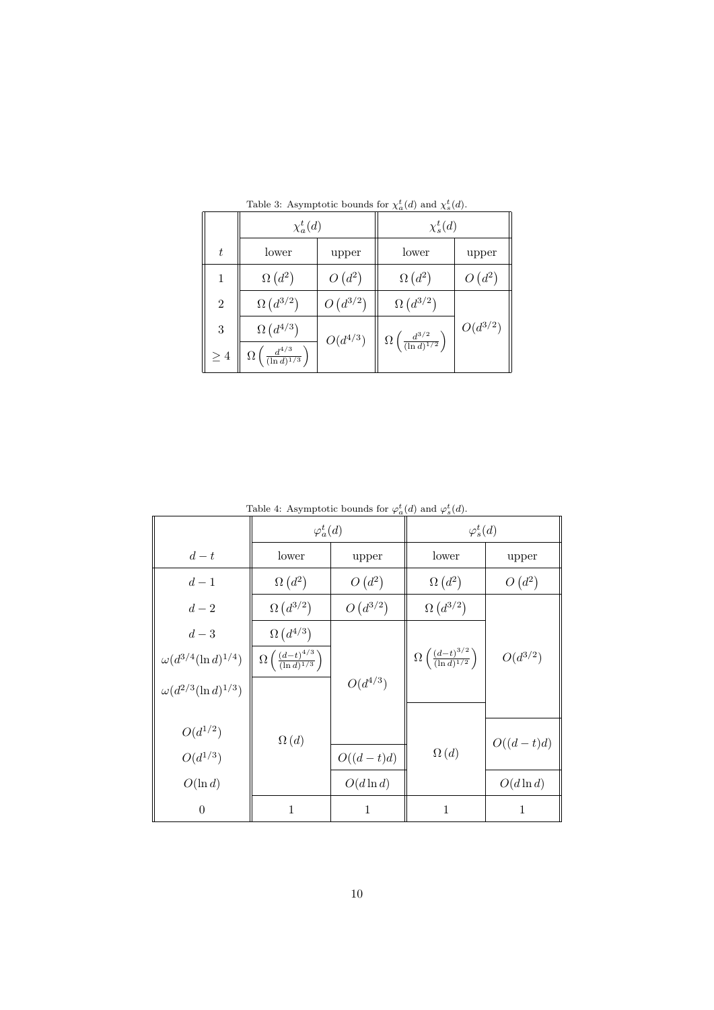|                | $\chi_a^t(d)$                                      |              | $\chi_s^t(d)$                                      |              |  |
|----------------|----------------------------------------------------|--------------|----------------------------------------------------|--------------|--|
| t              | lower                                              | upper        | lower                                              | upper        |  |
|                | $\Omega(d^2)$                                      | $O(d^2)$     | $\Omega\left(d^2\right)$                           | $O(d^2)$     |  |
| $\overline{2}$ | $\Omega\left(d^{3/2}\right)$                       | $O(d^{3/2})$ | $\Omega\left(d^{3/2}\right)$                       |              |  |
| 3              | $\Omega\left(d^{4/3}\right)$                       |              |                                                    | $O(d^{3/2})$ |  |
| $\geq 4$       | $\Omega\left(\frac{d^{4/3}}{(\ln d)^{1/3}}\right)$ | $O(d^{4/3})$ | $\Omega\left(\frac{d^{3/2}}{(\ln d)^{1/2}}\right)$ |              |  |

Table 3: Asymptotic bounds for  $\chi_a^t(d)$  and  $\chi_s^t(d)$ .

| rasic 1. They imposine sounds for $\varphi_a(w)$ and $\varphi_s(w)$ . |                                                        |              |                                                        |              |  |
|-----------------------------------------------------------------------|--------------------------------------------------------|--------------|--------------------------------------------------------|--------------|--|
|                                                                       | $\varphi_a^t(d)$                                       |              | $\varphi_s^t(d)$                                       |              |  |
| $d-t$                                                                 | lower<br>upper                                         |              | lower                                                  | upper        |  |
| $d-1$                                                                 | $\Omega\left(d^2\right)$                               | $O(d^2)$     | $\Omega\left(d^2\right)$                               | $O(d^2)$     |  |
| $d-2$                                                                 | $\Omega\left(d^{3/2}\right)$                           | $O(d^{3/2})$ | $\Omega\left(d^{3/2}\right)$                           |              |  |
| $d-3$                                                                 | $\Omega\left(d^{4/3}\right)$                           |              |                                                        |              |  |
| $\omega(d^{3/4}(\ln d)^{1/4})$                                        | $\Omega\left(\frac{(d-t)^{4/3}}{(\ln d)^{1/3}}\right)$ |              | $\Omega\left(\frac{(d-t)^{3/2}}{(\ln d)^{1/2}}\right)$ | $O(d^{3/2})$ |  |
| $\omega(d^{2/3}(\ln d)^{1/3})$                                        |                                                        | $O(d^{4/3})$ |                                                        |              |  |
|                                                                       |                                                        |              |                                                        |              |  |
| $O(d^{1/2})$                                                          | $\Omega(d)$                                            |              |                                                        | $O((d-t)d)$  |  |
| $O(d^{1/3})$                                                          |                                                        | $O((d-t)d)$  | $\Omega(d)$                                            |              |  |
| $O(\ln d)$                                                            |                                                        | $O(d \ln d)$ |                                                        | $O(d \ln d)$ |  |
| $\theta$                                                              | 1                                                      | 1            | $\mathbf 1$                                            | 1            |  |

Table 4: Asymptotic bounds for  $\varphi_a^t(d)$  and  $\varphi_s^t(d)$ .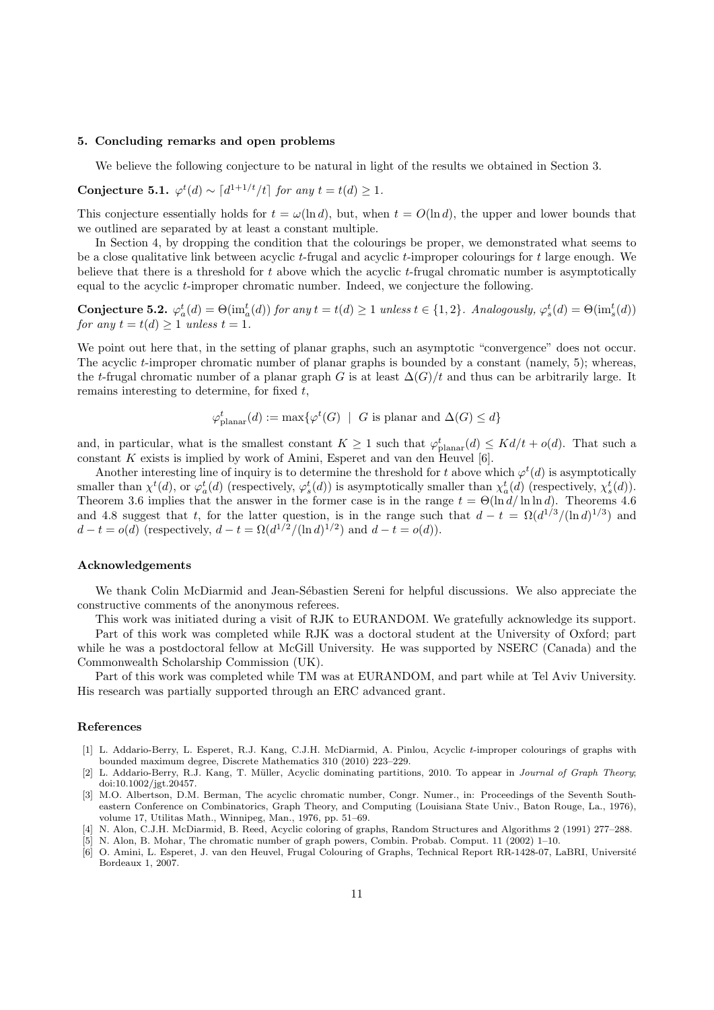#### 5. Concluding remarks and open problems

We believe the following conjecture to be natural in light of the results we obtained in Section 3.

Conjecture 5.1.  $\varphi^t(d) \sim \left[d^{1+1/t}/t\right]$  for any  $t = t(d) \geq 1$ .

This conjecture essentially holds for  $t = \omega(\ln d)$ , but, when  $t = O(\ln d)$ , the upper and lower bounds that we outlined are separated by at least a constant multiple.

In Section 4, by dropping the condition that the colourings be proper, we demonstrated what seems to be a close qualitative link between acyclic t-frugal and acyclic t-improper colourings for  $t$  large enough. We believe that there is a threshold for t above which the acyclic t-frugal chromatic number is asymptotically equal to the acyclic t-improper chromatic number. Indeed, we conjecture the following.

Conjecture 5.2.  $\varphi_a^t(d) = \Theta(\text{im}_a^t(d))$  for any  $t = t(d) \ge 1$  unless  $t \in \{1,2\}$ . Analogously,  $\varphi_s^t(d) = \Theta(\text{im}_s^t(d))$ for any  $t = t(d) \geq 1$  unless  $t = 1$ .

We point out here that, in the setting of planar graphs, such an asymptotic "convergence" does not occur. The acyclic t-improper chromatic number of planar graphs is bounded by a constant (namely, 5); whereas, the t-frugal chromatic number of a planar graph G is at least  $\Delta(G)/t$  and thus can be arbitrarily large. It remains interesting to determine, for fixed t,

$$
\varphi^t_\text{planar}(d) := \max\{\varphi^t(G) \mid G \text{ is planar and } \Delta(G) \leq d\}
$$

and, in particular, what is the smallest constant  $K \geq 1$  such that  $\varphi_{\text{planar}}^t(d) \leq K d/t + o(d)$ . That such a constant  $K$  exists is implied by work of Amini, Esperet and van den Heuvel [6].

Another interesting line of inquiry is to determine the threshold for t above which  $\varphi^t(d)$  is asymptotically smaller than  $\chi^t(d)$ , or  $\varphi_a^t(d)$  (respectively,  $\varphi_s^t(d)$ ) is asymptotically smaller than  $\chi_a^t(d)$  (respectively,  $\chi_s^t(d)$ ). Theorem 3.6 implies that the answer in the former case is in the range  $t = \Theta(\ln d / \ln \ln d)$ . Theorems 4.6 and 4.8 suggest that t, for the latter question, is in the range such that  $d - t = \Omega(d^{1/3}/(\ln d)^{1/3})$  and  $d - t = o(d)$  (respectively,  $d - t = \Omega(d^{1/2}/(\ln d)^{1/2})$  and  $d - t = o(d)$ ).

#### Acknowledgements

We thank Colin McDiarmid and Jean-Sébastien Sereni for helpful discussions. We also appreciate the constructive comments of the anonymous referees.

This work was initiated during a visit of RJK to EURANDOM. We gratefully acknowledge its support.

Part of this work was completed while RJK was a doctoral student at the University of Oxford; part while he was a postdoctoral fellow at McGill University. He was supported by NSERC (Canada) and the Commonwealth Scholarship Commission (UK).

Part of this work was completed while TM was at EURANDOM, and part while at Tel Aviv University. His research was partially supported through an ERC advanced grant.

#### References

- [1] L. Addario-Berry, L. Esperet, R.J. Kang, C.J.H. McDiarmid, A. Pinlou, Acyclic t-improper colourings of graphs with bounded maximum degree, Discrete Mathematics 310 (2010) 223–229.
- [2] L. Addario-Berry, R.J. Kang, T. Müller, Acyclic dominating partitions, 2010. To appear in Journal of Graph Theory; doi:10.1002/jgt.20457.
- [3] M.O. Albertson, D.M. Berman, The acyclic chromatic number, Congr. Numer., in: Proceedings of the Seventh Southeastern Conference on Combinatorics, Graph Theory, and Computing (Louisiana State Univ., Baton Rouge, La., 1976), volume 17, Utilitas Math., Winnipeg, Man., 1976, pp. 51–69.
- [4] N. Alon, C.J.H. McDiarmid, B. Reed, Acyclic coloring of graphs, Random Structures and Algorithms 2 (1991) 277–288.
- [5] N. Alon, B. Mohar, The chromatic number of graph powers, Combin. Probab. Comput. 11 (2002) 1–10.
- [6] O. Amini, L. Esperet, J. van den Heuvel, Frugal Colouring of Graphs, Technical Report RR-1428-07, LaBRI, Université Bordeaux 1, 2007.